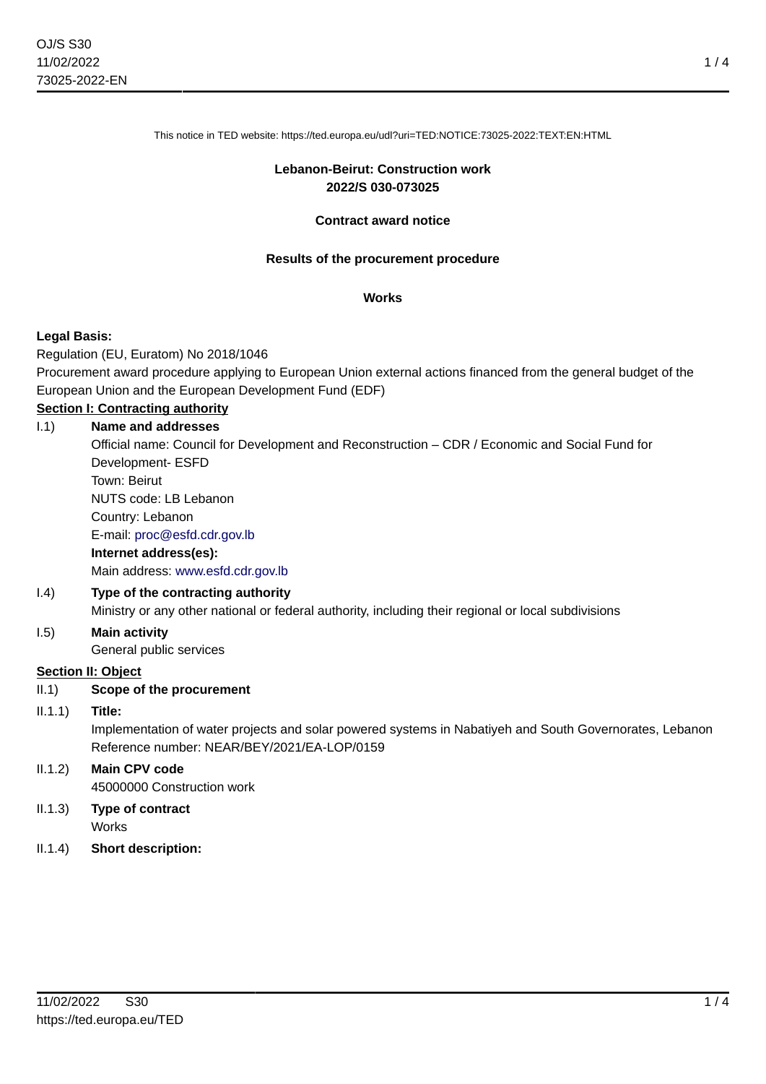This notice in TED website: https://ted.europa.eu/udl?uri=TED:NOTICE:73025-2022:TEXT:EN:HTML

#### **Lebanon-Beirut: Construction work 2022/S 030-073025**

#### **Contract award notice**

#### **Results of the procurement procedure**

#### **Works**

## **Legal Basis:**

Regulation (EU, Euratom) No 2018/1046

Procurement award procedure applying to European Union external actions financed from the general budget of the European Union and the European Development Fund (EDF)

# **Section I: Contracting authority**

I.1) **Name and addresses** Official name: Council for Development and Reconstruction – CDR / Economic and Social Fund for Development- ESFD Town: Beirut NUTS code: LB Lebanon Country: Lebanon E-mail: [proc@esfd.cdr.gov.lb](mailto:proc@esfd.cdr.gov.lb) **Internet address(es):** Main address:<www.esfd.cdr.gov.lb> I.4) **Type of the contracting authority** Ministry or any other national or federal authority, including their regional or local subdivisions I.5) **Main activity**

General public services

## **Section II: Object**

II.1) **Scope of the procurement**

## II.1.1) **Title:**

Implementation of water projects and solar powered systems in Nabatiyeh and South Governorates, Lebanon Reference number: NEAR/BEY/2021/EA-LOP/0159

## II.1.2) **Main CPV code** 45000000 Construction work

- II.1.3) **Type of contract Works**
- II.1.4) **Short description:**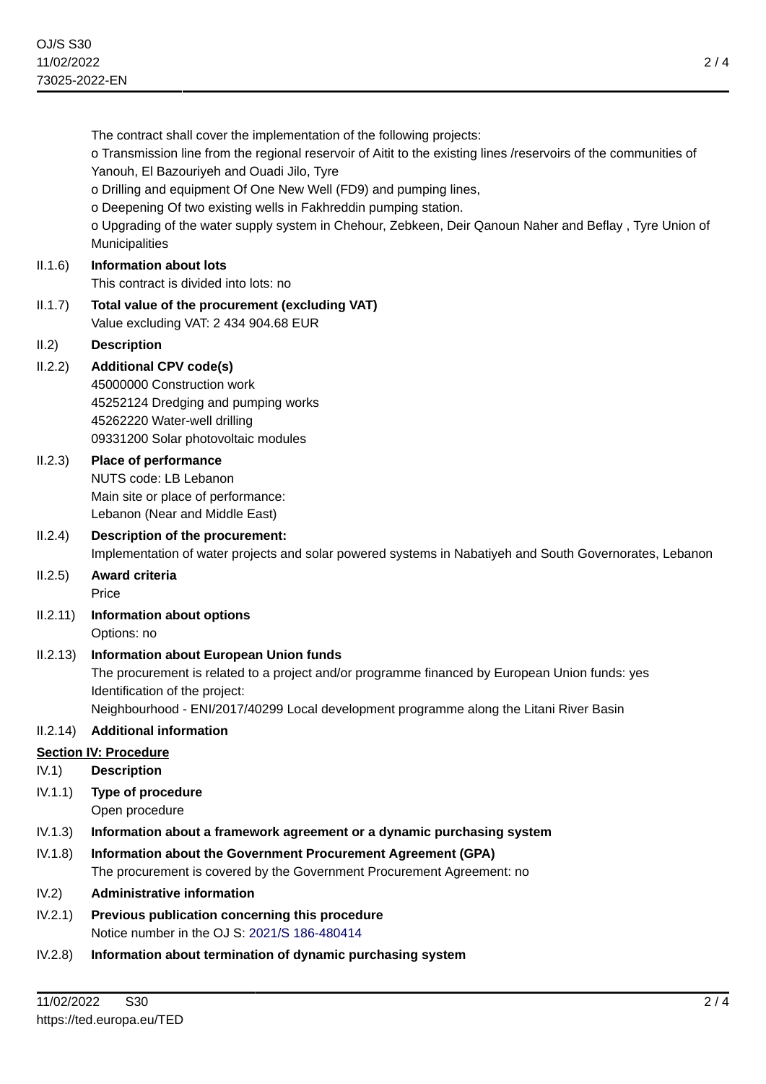The contract shall cover the implementation of the following projects: o Transmission line from the regional reservoir of Aitit to the existing lines /reservoirs of the communities of Yanouh, El Bazouriyeh and Ouadi Jilo, Tyre o Drilling and equipment Of One New Well (FD9) and pumping lines, o Deepening Of two existing wells in Fakhreddin pumping station. o Upgrading of the water supply system in Chehour, Zebkeen, Deir Qanoun Naher and Beflay , Tyre Union of Municipalities II.1.6) **Information about lots** This contract is divided into lots: no II.1.7) **Total value of the procurement (excluding VAT)** Value excluding VAT: 2 434 904.68 EUR II.2) **Description** II.2.2) **Additional CPV code(s)** 45000000 Construction work 45252124 Dredging and pumping works 45262220 Water-well drilling 09331200 Solar photovoltaic modules II.2.3) **Place of performance** NUTS code: LB Lebanon Main site or place of performance: Lebanon (Near and Middle East) II.2.4) **Description of the procurement:** Implementation of water projects and solar powered systems in Nabatiyeh and South Governorates, Lebanon II.2.5) **Award criteria** Price II.2.11) **Information about options** Options: no II.2.13) **Information about European Union funds** The procurement is related to a project and/or programme financed by European Union funds: yes Identification of the project: Neighbourhood - ENI/2017/40299 Local development programme along the Litani River Basin II.2.14) **Additional information Section IV: Procedure** IV.1) **Description** IV.1.1) **Type of procedure** Open procedure IV.1.3) **Information about a framework agreement or a dynamic purchasing system** IV.1.8) **Information about the Government Procurement Agreement (GPA)** The procurement is covered by the Government Procurement Agreement: no IV.2) **Administrative information**

- IV.2.1) **Previous publication concerning this procedure** Notice number in the OJ S: [2021/S 186-480414](https://ted.europa.eu/udl?uri=TED:NOTICE:480414-2021:TEXT:EN:HTML)
- IV.2.8) **Information about termination of dynamic purchasing system**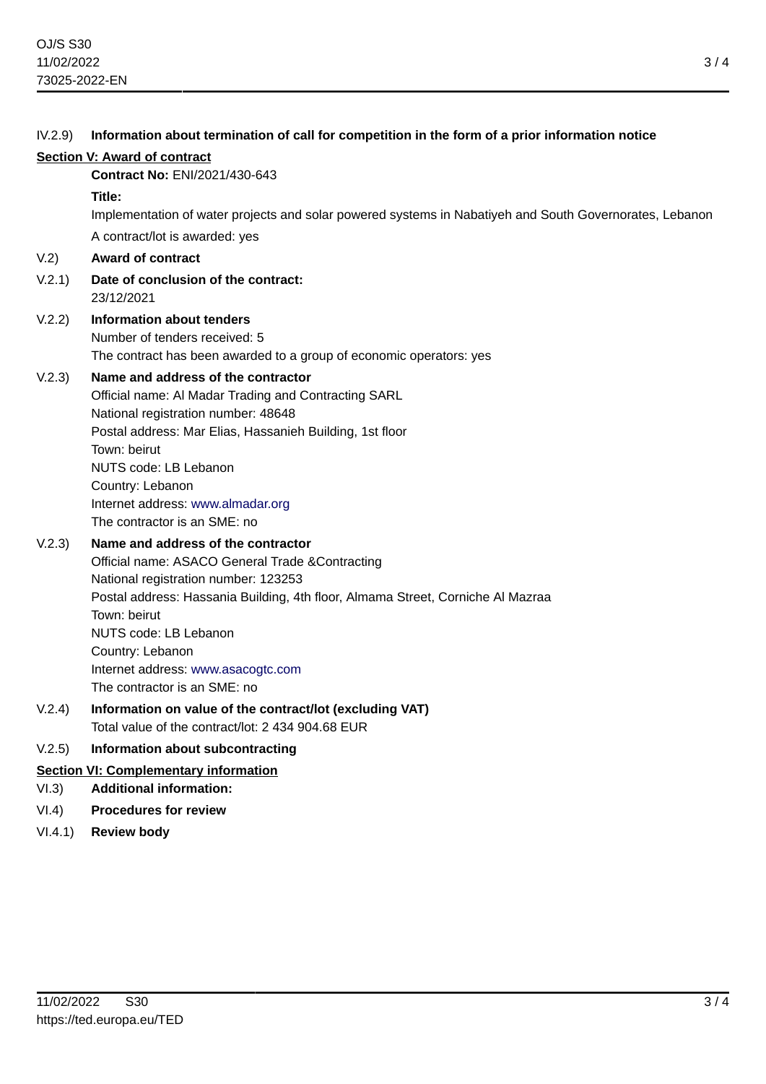# IV.2.9) **Information about termination of call for competition in the form of a prior information notice Section V: Award of contract Contract No:** ENI/2021/430-643 **Title:** Implementation of water projects and solar powered systems in Nabatiyeh and South Governorates, Lebanon A contract/lot is awarded: yes V.2) **Award of contract** V.2.1) **Date of conclusion of the contract:** 23/12/2021 V.2.2) **Information about tenders** Number of tenders received: 5 The contract has been awarded to a group of economic operators: yes V.2.3) **Name and address of the contractor** Official name: Al Madar Trading and Contracting SARL National registration number: 48648 Postal address: Mar Elias, Hassanieh Building, 1st floor Town: beirut NUTS code: LB Lebanon Country: Lebanon Internet address: <www.almadar.org> The contractor is an SME: no V.2.3) **Name and address of the contractor** Official name: ASACO General Trade &Contracting National registration number: 123253 Postal address: Hassania Building, 4th floor, Almama Street, Corniche Al Mazraa Town: beirut NUTS code: LB Lebanon Country: Lebanon Internet address: <www.asacogtc.com> The contractor is an SME: no V.2.4) **Information on value of the contract/lot (excluding VAT)** Total value of the contract/lot: 2 434 904.68 EUR V.2.5) **Information about subcontracting Section VI: Complementary information** VI.3) **Additional information:** VI.4) **Procedures for review**

VI.4.1) **Review body**